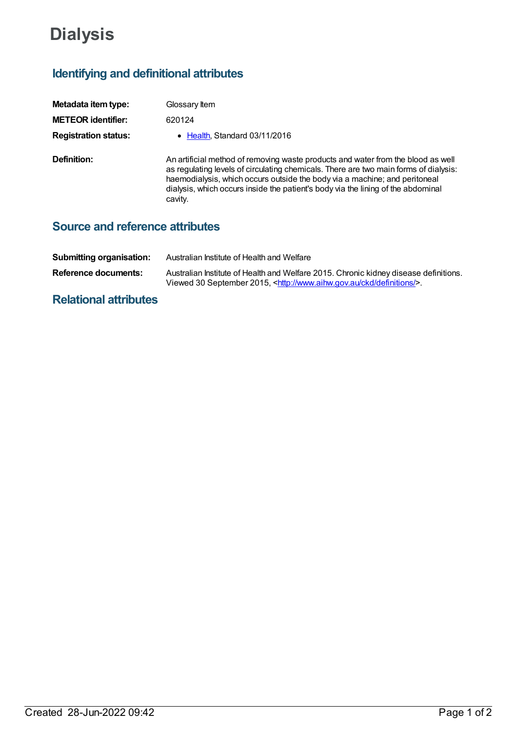# **Dialysis**

# **Identifying and definitional attributes**

| Metadata item type:         | Glossary Item                                                                                                                                                                                                                                                                                                                                         |
|-----------------------------|-------------------------------------------------------------------------------------------------------------------------------------------------------------------------------------------------------------------------------------------------------------------------------------------------------------------------------------------------------|
| <b>METEOR identifier:</b>   | 620124                                                                                                                                                                                                                                                                                                                                                |
| <b>Registration status:</b> | • Health, Standard 03/11/2016                                                                                                                                                                                                                                                                                                                         |
| Definition:                 | An artificial method of removing waste products and water from the blood as well<br>as regulating levels of circulating chemicals. There are two main forms of dialysis:<br>haemodialysis, which occurs outside the body via a machine; and peritoneal<br>dialysis, which occurs inside the patient's body via the lining of the abdominal<br>cavity. |

## **Source and reference attributes**

| <b>Submitting organisation:</b> | Australian Institute of Health and Welfare                                                                                                                                   |
|---------------------------------|------------------------------------------------------------------------------------------------------------------------------------------------------------------------------|
| <b>Reference documents:</b>     | Australian Institute of Health and Welfare 2015. Chronic kidney disease definitions.<br>Viewed 30 September 2015, <http: ckd="" definitions="" www.aihw.gov.au=""></http:> . |

## **Relational attributes**